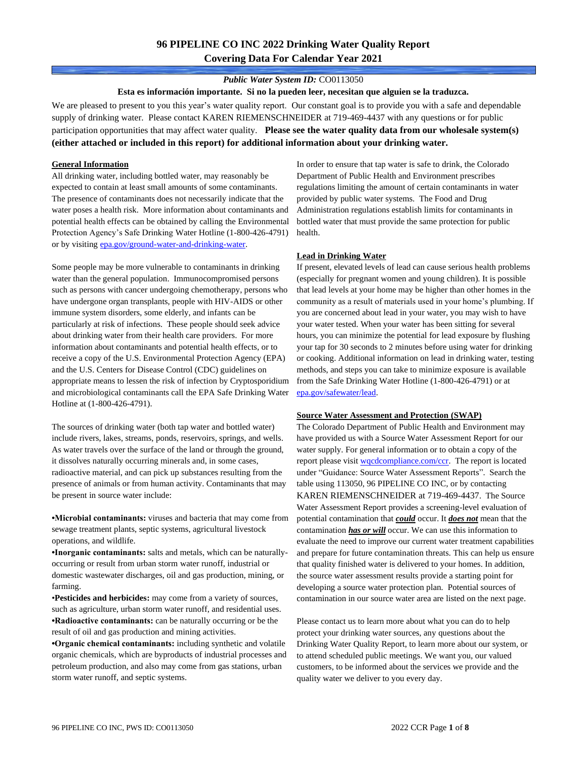# **96 PIPELINE CO INC 2022 Drinking Water Quality Report Covering Data For Calendar Year 2021**

### *Public Water System ID:* CO0113050

**Esta es información importante. Si no la pueden leer, necesitan que alguien se la traduzca.**

We are pleased to present to you this year's water quality report. Our constant goal is to provide you with a safe and dependable supply of drinking water. Please contact KAREN RIEMENSCHNEIDER at 719-469-4437 with any questions or for public participation opportunities that may affect water quality. **Please see the water quality data from our wholesale system(s) (either attached or included in this report) for additional information about your drinking water.**

#### **General Information**

All drinking water, including bottled water, may reasonably be expected to contain at least small amounts of some contaminants. The presence of contaminants does not necessarily indicate that the water poses a health risk. More information about contaminants and potential health effects can be obtained by calling the Environmental Protection Agency's Safe Drinking Water Hotline (1-800-426-4791) or by visiting [epa.gov/ground-water-and-drinking-water.](https://www.epa.gov/ground-water-and-drinking-water)

Some people may be more vulnerable to contaminants in drinking water than the general population. Immunocompromised persons such as persons with cancer undergoing chemotherapy, persons who have undergone organ transplants, people with HIV-AIDS or other immune system disorders, some elderly, and infants can be particularly at risk of infections. These people should seek advice about drinking water from their health care providers. For more information about contaminants and potential health effects, or to receive a copy of the U.S. Environmental Protection Agency (EPA) and the U.S. Centers for Disease Control (CDC) guidelines on appropriate means to lessen the risk of infection by Cryptosporidium and microbiological contaminants call the EPA Safe Drinking Water Hotline at (1-800-426-4791).

The sources of drinking water (both tap water and bottled water) include rivers, lakes, streams, ponds, reservoirs, springs, and wells. As water travels over the surface of the land or through the ground, it dissolves naturally occurring minerals and, in some cases, radioactive material, and can pick up substances resulting from the presence of animals or from human activity. Contaminants that may be present in source water include:

**•Microbial contaminants:** viruses and bacteria that may come from sewage treatment plants, septic systems, agricultural livestock operations, and wildlife.

**•Inorganic contaminants:** salts and metals, which can be naturallyoccurring or result from urban storm water runoff, industrial or domestic wastewater discharges, oil and gas production, mining, or farming.

•**Pesticides and herbicides:** may come from a variety of sources, such as agriculture, urban storm water runoff, and residential uses. **•Radioactive contaminants:** can be naturally occurring or be the result of oil and gas production and mining activities.

**•Organic chemical contaminants:** including synthetic and volatile organic chemicals, which are byproducts of industrial processes and petroleum production, and also may come from gas stations, urban storm water runoff, and septic systems.

In order to ensure that tap water is safe to drink, the Colorado Department of Public Health and Environment prescribes regulations limiting the amount of certain contaminants in water provided by public water systems. The Food and Drug Administration regulations establish limits for contaminants in bottled water that must provide the same protection for public health.

#### **Lead in Drinking Water**

If present, elevated levels of lead can cause serious health problems (especially for pregnant women and young children). It is possible that lead levels at your home may be higher than other homes in the community as a result of materials used in your home's plumbing. If you are concerned about lead in your water, you may wish to have your water tested. When your water has been sitting for several hours, you can minimize the potential for lead exposure by flushing your tap for 30 seconds to 2 minutes before using water for drinking or cooking. Additional information on lead in drinking water, testing methods, and steps you can take to minimize exposure is available from the Safe Drinking Water Hotline (1-800-426-4791) or at [epa.gov/safewater/lead.](http://www.epa.gov/safewater/lead) 

#### **Source Water Assessment and Protection (SWAP)**

The Colorado Department of Public Health and Environment may have provided us with a Source Water Assessment Report for our water supply. For general information or to obtain a copy of the report please visit [wqcdcompliance.com/ccr.](https://wqcdcompliance.com/ccr) The report is located under "Guidance: Source Water Assessment Reports". Search the table using 113050, 96 PIPELINE CO INC, or by contacting KAREN RIEMENSCHNEIDER at 719-469-4437. The Source Water Assessment Report provides a screening-level evaluation of potential contamination that *could* occur. It *does not* mean that the contamination *has or will* occur. We can use this information to evaluate the need to improve our current water treatment capabilities and prepare for future contamination threats. This can help us ensure that quality finished water is delivered to your homes. In addition, the source water assessment results provide a starting point for developing a source water protection plan. Potential sources of contamination in our source water area are listed on the next page.

Please contact us to learn more about what you can do to help protect your drinking water sources, any questions about the Drinking Water Quality Report, to learn more about our system, or to attend scheduled public meetings. We want you, our valued customers, to be informed about the services we provide and the quality water we deliver to you every day.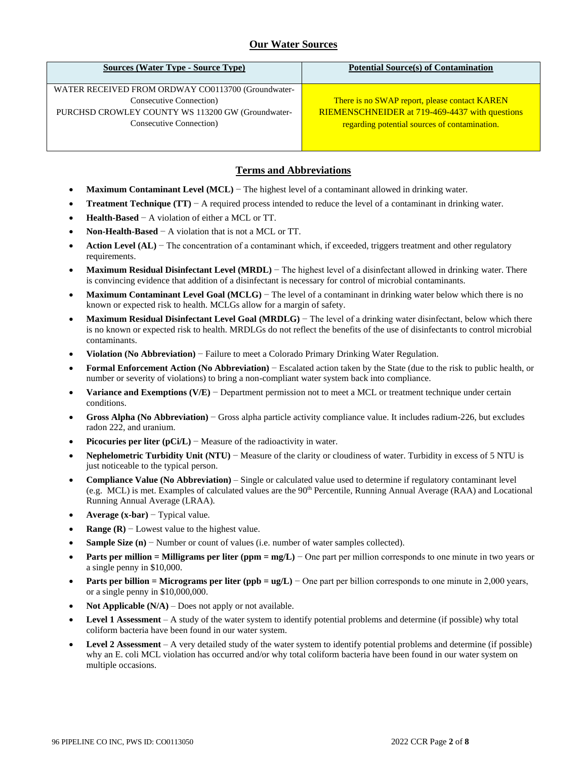## **Our Water Sources**

| <b>Sources (Water Type - Source Type)</b>          | <b>Potential Source(s) of Contamination</b>           |
|----------------------------------------------------|-------------------------------------------------------|
| WATER RECEIVED FROM ORDWAY CO0113700 (Groundwater- |                                                       |
| Consecutive Connection)                            | There is no SWAP report, please contact KAREN         |
| PURCHSD CROWLEY COUNTY WS 113200 GW (Groundwater-  | <b>RIEMENSCHNEIDER at 719-469-4437 with questions</b> |
| Consecutive Connection)                            | regarding potential sources of contamination.         |
|                                                    |                                                       |
|                                                    |                                                       |

### **Terms and Abbreviations**

- **Maximum Contaminant Level (MCL)** − The highest level of a contaminant allowed in drinking water.
- **Treatment Technique (TT)** − A required process intended to reduce the level of a contaminant in drinking water.
- **Health-Based** − A violation of either a MCL or TT.
- **Non-Health-Based** − A violation that is not a MCL or TT.
- **Action Level (AL)** − The concentration of a contaminant which, if exceeded, triggers treatment and other regulatory requirements.
- **Maximum Residual Disinfectant Level (MRDL)** The highest level of a disinfectant allowed in drinking water. There is convincing evidence that addition of a disinfectant is necessary for control of microbial contaminants.
- **Maximum Contaminant Level Goal (MCLG)** − The level of a contaminant in drinking water below which there is no known or expected risk to health. MCLGs allow for a margin of safety.
- **Maximum Residual Disinfectant Level Goal (MRDLG)** − The level of a drinking water disinfectant, below which there is no known or expected risk to health. MRDLGs do not reflect the benefits of the use of disinfectants to control microbial contaminants.
- **Violation (No Abbreviation)** − Failure to meet a Colorado Primary Drinking Water Regulation.
- **Formal Enforcement Action (No Abbreviation)** − Escalated action taken by the State (due to the risk to public health, or number or severity of violations) to bring a non-compliant water system back into compliance.
- **Variance and Exemptions (V/E)** − Department permission not to meet a MCL or treatment technique under certain conditions.
- **Gross Alpha (No Abbreviation)** − Gross alpha particle activity compliance value. It includes radium-226, but excludes radon 222, and uranium.
- **Picocuries per liter (pCi/L)** Measure of the radioactivity in water.
- **Nephelometric Turbidity Unit (NTU)** − Measure of the clarity or cloudiness of water. Turbidity in excess of 5 NTU is just noticeable to the typical person.
- **Compliance Value (No Abbreviation)** Single or calculated value used to determine if regulatory contaminant level (e.g. MCL) is met. Examples of calculated values are the 90<sup>th</sup> Percentile, Running Annual Average (RAA) and Locational Running Annual Average (LRAA).
- **Average (x-bar)** − Typical value.
- **Range (R)**  $-$  Lowest value to the highest value.
- **Sample Size (n)** − Number or count of values (i.e. number of water samples collected).
- **Parts per million = Milligrams per liter (ppm = mg/L)** − One part per million corresponds to one minute in two years or a single penny in \$10,000.
- **Parts per billion = Micrograms per liter (ppb = ug/L)** − One part per billion corresponds to one minute in 2,000 years, or a single penny in \$10,000,000.
- **Not Applicable**  $(N/A)$  Does not apply or not available.
- **Level 1 Assessment** A study of the water system to identify potential problems and determine (if possible) why total coliform bacteria have been found in our water system.
- **Level 2 Assessment** A very detailed study of the water system to identify potential problems and determine (if possible) why an E. coli MCL violation has occurred and/or why total coliform bacteria have been found in our water system on multiple occasions.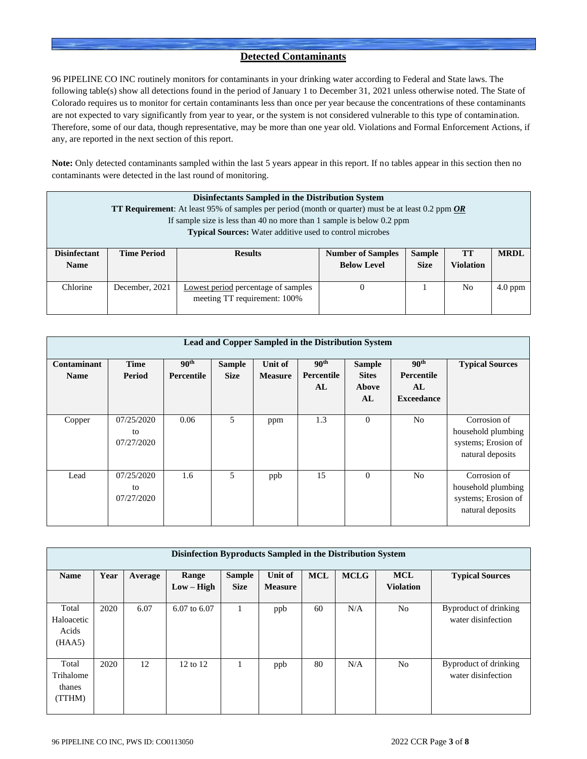### **Detected Contaminants**

96 PIPELINE CO INC routinely monitors for contaminants in your drinking water according to Federal and State laws. The following table(s) show all detections found in the period of January 1 to December 31, 2021 unless otherwise noted. The State of Colorado requires us to monitor for certain contaminants less than once per year because the concentrations of these contaminants are not expected to vary significantly from year to year, or the system is not considered vulnerable to this type of contamination. Therefore, some of our data, though representative, may be more than one year old. Violations and Formal Enforcement Actions, if any, are reported in the next section of this report.

**Note:** Only detected contaminants sampled within the last 5 years appear in this report. If no tables appear in this section then no contaminants were detected in the last round of monitoring.

|                                                                                                                                          | Disinfectants Sampled in the Distribution System<br><b>TT Requirement</b> : At least 95% of samples per period (month or quarter) must be at least 0.2 ppm <b>OR</b> |                                                                                                                                           |  |  |    |           |  |  |  |  |  |  |
|------------------------------------------------------------------------------------------------------------------------------------------|----------------------------------------------------------------------------------------------------------------------------------------------------------------------|-------------------------------------------------------------------------------------------------------------------------------------------|--|--|----|-----------|--|--|--|--|--|--|
| If sample size is less than 40 no more than 1 sample is below 0.2 ppm<br><b>Typical Sources:</b> Water additive used to control microbes |                                                                                                                                                                      |                                                                                                                                           |  |  |    |           |  |  |  |  |  |  |
| <b>Disinfectant</b><br><b>Name</b>                                                                                                       | <b>Time Period</b>                                                                                                                                                   | <b>MRDL</b><br><b>Number of Samples</b><br><b>Sample</b><br><b>Results</b><br>TТ<br><b>Violation</b><br><b>Below Level</b><br><b>Size</b> |  |  |    |           |  |  |  |  |  |  |
| Chlorine                                                                                                                                 | December, 2021                                                                                                                                                       | <b>Lowest period</b> percentage of samples<br>meeting TT requirement: 100%                                                                |  |  | No | $4.0$ ppm |  |  |  |  |  |  |

|                            | Lead and Copper Sampled in the Distribution System |                                |                              |                           |                                      |                                              |                                                           |                                                                               |  |  |  |  |  |  |
|----------------------------|----------------------------------------------------|--------------------------------|------------------------------|---------------------------|--------------------------------------|----------------------------------------------|-----------------------------------------------------------|-------------------------------------------------------------------------------|--|--|--|--|--|--|
| Contaminant<br><b>Name</b> | <b>Time</b><br>Period                              | 90 <sup>th</sup><br>Percentile | <b>Sample</b><br><b>Size</b> | Unit of<br><b>Measure</b> | 90 <sup>th</sup><br>Percentile<br>AL | <b>Sample</b><br><b>Sites</b><br>Above<br>AL | 90 <sup>th</sup><br>Percentile<br>AL<br><b>Exceedance</b> | <b>Typical Sources</b>                                                        |  |  |  |  |  |  |
| Copper                     | 07/25/2020<br>to<br>07/27/2020                     | 0.06                           | 5                            | ppm                       | 1.3                                  | $\overline{0}$                               | N <sub>0</sub>                                            | Corrosion of<br>household plumbing<br>systems; Erosion of<br>natural deposits |  |  |  |  |  |  |
| Lead                       | 07/25/2020<br>to<br>07/27/2020                     | 1.6                            | 5                            | ppb                       | 15                                   | $\Omega$                                     | N <sub>0</sub>                                            | Corrosion of<br>household plumbing<br>systems; Erosion of<br>natural deposits |  |  |  |  |  |  |

|                                        | Disinfection Byproducts Sampled in the Distribution System |         |                       |                              |                           |            |             |                                |                                             |  |  |  |  |  |
|----------------------------------------|------------------------------------------------------------|---------|-----------------------|------------------------------|---------------------------|------------|-------------|--------------------------------|---------------------------------------------|--|--|--|--|--|
| <b>Name</b>                            | Year                                                       | Average | Range<br>$Low - High$ | <b>Sample</b><br><b>Size</b> | Unit of<br><b>Measure</b> | <b>MCL</b> | <b>MCLG</b> | <b>MCL</b><br><b>Violation</b> | <b>Typical Sources</b>                      |  |  |  |  |  |
| Total<br>Haloacetic<br>Acids<br>(HAA5) | 2020                                                       | 6.07    | 6.07 to 6.07          |                              | ppb                       | 60         | N/A         | N <sub>0</sub>                 | Byproduct of drinking<br>water disinfection |  |  |  |  |  |
| Total<br>Trihalome<br>thanes<br>(TTHM) | 2020                                                       | 12      | 12 to 12              |                              | ppb                       | 80         | N/A         | N <sub>o</sub>                 | Byproduct of drinking<br>water disinfection |  |  |  |  |  |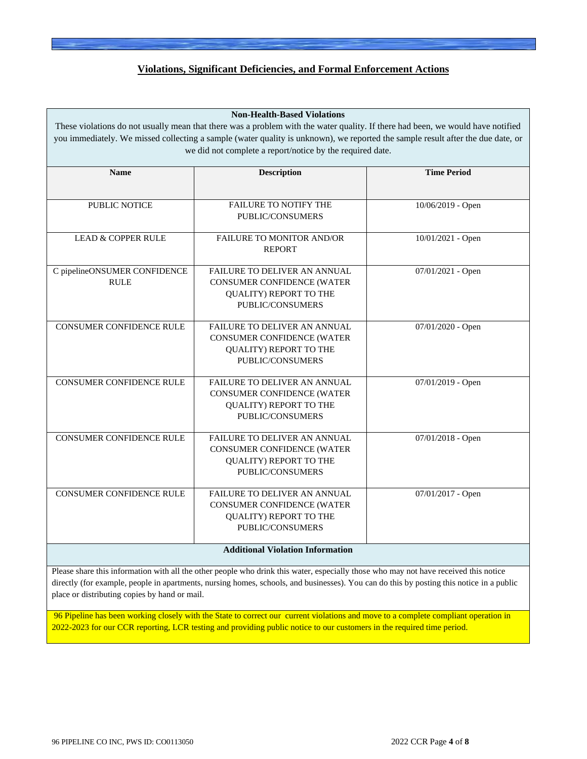### **Violations, Significant Deficiencies, and Formal Enforcement Actions**

#### **Non-Health-Based Violations**

These violations do not usually mean that there was a problem with the water quality. If there had been, we would have notified you immediately. We missed collecting a sample (water quality is unknown), we reported the sample result after the due date, or we did not complete a report/notice by the required date.

| <b>Name</b>                     | <b>Description</b>                      | <b>Time Period</b>  |
|---------------------------------|-----------------------------------------|---------------------|
|                                 |                                         |                     |
| <b>PUBLIC NOTICE</b>            | <b>FAILURE TO NOTIFY THE</b>            | 10/06/2019 - Open   |
|                                 | PUBLIC/CONSUMERS                        |                     |
| <b>LEAD &amp; COPPER RULE</b>   | <b>FAILURE TO MONITOR AND/OR</b>        | 10/01/2021 - Open   |
|                                 | <b>REPORT</b>                           |                     |
| C pipelineONSUMER CONFIDENCE    | FAILURE TO DELIVER AN ANNUAL            | 07/01/2021 - Open   |
| <b>RULE</b>                     | CONSUMER CONFIDENCE (WATER              |                     |
|                                 | QUALITY) REPORT TO THE                  |                     |
|                                 | PUBLIC/CONSUMERS                        |                     |
| <b>CONSUMER CONFIDENCE RULE</b> | FAILURE TO DELIVER AN ANNUAL            | 07/01/2020 - Open   |
|                                 | CONSUMER CONFIDENCE (WATER              |                     |
|                                 | <b>QUALITY) REPORT TO THE</b>           |                     |
|                                 | PUBLIC/CONSUMERS                        |                     |
| <b>CONSUMER CONFIDENCE RULE</b> | <b>FAILURE TO DELIVER AN ANNUAL</b>     | 07/01/2019 - Open   |
|                                 | CONSUMER CONFIDENCE (WATER              |                     |
|                                 | <b>QUALITY) REPORT TO THE</b>           |                     |
|                                 | PUBLIC/CONSUMERS                        |                     |
| <b>CONSUMER CONFIDENCE RULE</b> | <b>FAILURE TO DELIVER AN ANNUAL</b>     | 07/01/2018 - Open   |
|                                 | CONSUMER CONFIDENCE (WATER              |                     |
|                                 | QUALITY) REPORT TO THE                  |                     |
|                                 | PUBLIC/CONSUMERS                        |                     |
| <b>CONSUMER CONFIDENCE RULE</b> | <b>FAILURE TO DELIVER AN ANNUAL</b>     | $07/01/2017$ - Open |
|                                 | CONSUMER CONFIDENCE (WATER              |                     |
|                                 | QUALITY) REPORT TO THE                  |                     |
|                                 | PUBLIC/CONSUMERS                        |                     |
|                                 | <b>Additional Violation Information</b> |                     |

Please share this information with all the other people who drink this water, especially those who may not have received this notice directly (for example, people in apartments, nursing homes, schools, and businesses). You can do this by posting this notice in a public place or distributing copies by hand or mail.

96 Pipeline has been working closely with the State to correct our current violations and move to a complete compliant operation in 2022-2023 for our CCR reporting, LCR testing and providing public notice to our customers in the required time period.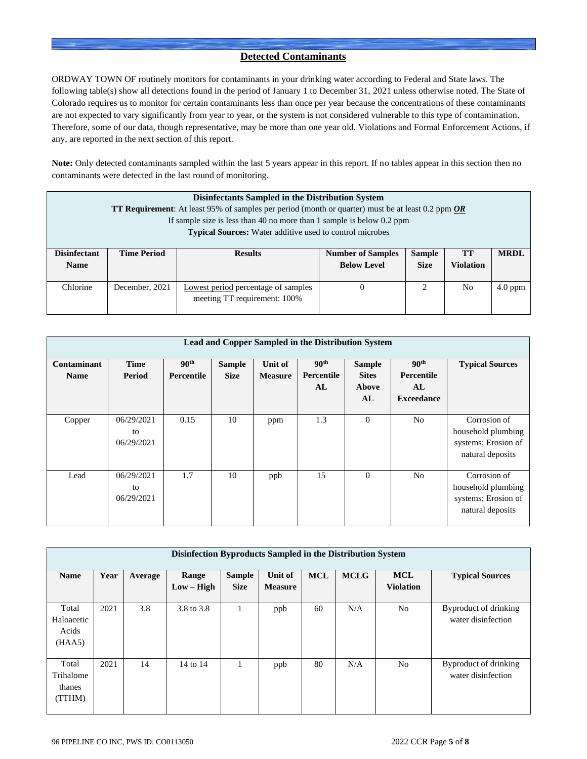### **Detected Contaminants**

ORDWAY TOWN OF routinely monitors for contaminants in your drinking water according to Federal and State laws. The following table(s) show all detections found in the period of January 1 to December 31, 2021 unless otherwise noted. The State of Colorado requires us to monitor for certain contaminants less than once per year because the concentrations of these contaminants are not expected to vary significantly from year to year, or the system is not considered vulnerable to this type of contamination. Therefore, some of our data, though representative, may be more than one year old. Violations and Formal Enforcement Actions, if any, are reported in the next section of this report.

**Note:** Only detected contaminants sampled within the last 5 years appear in this report. If no tables appear in this section then no contaminants were detected in the last round of monitoring.

|                     | Disinfectants Sampled in the Distribution System                                                                 |                                                                 |                          |               |                  |             |  |  |  |  |  |  |
|---------------------|------------------------------------------------------------------------------------------------------------------|-----------------------------------------------------------------|--------------------------|---------------|------------------|-------------|--|--|--|--|--|--|
|                     | <b>TT Requirement</b> : At least 95% of samples per period (month or quarter) must be at least 0.2 ppm <b>OR</b> |                                                                 |                          |               |                  |             |  |  |  |  |  |  |
|                     | If sample size is less than 40 no more than 1 sample is below $0.2$ ppm                                          |                                                                 |                          |               |                  |             |  |  |  |  |  |  |
|                     |                                                                                                                  | <b>Typical Sources:</b> Water additive used to control microbes |                          |               |                  |             |  |  |  |  |  |  |
|                     |                                                                                                                  |                                                                 |                          |               |                  |             |  |  |  |  |  |  |
| <b>Disinfectant</b> | <b>Time Period</b>                                                                                               | <b>Results</b>                                                  | <b>Number of Samples</b> | <b>Sample</b> | TT               | <b>MRDL</b> |  |  |  |  |  |  |
| <b>Name</b>         |                                                                                                                  |                                                                 | <b>Below Level</b>       | <b>Size</b>   | <b>Violation</b> |             |  |  |  |  |  |  |
|                     |                                                                                                                  |                                                                 |                          |               |                  |             |  |  |  |  |  |  |
| Chlorine            | December, 2021                                                                                                   | <b>Lowest period percentage of samples</b>                      |                          | 2             | No               | $4.0$ ppm   |  |  |  |  |  |  |
|                     |                                                                                                                  | meeting TT requirement: 100%                                    |                          |               |                  |             |  |  |  |  |  |  |
|                     |                                                                                                                  |                                                                 |                          |               |                  |             |  |  |  |  |  |  |

|                            | Lead and Copper Sampled in the Distribution System |                                       |                              |                           |                                      |                                              |                                                           |                                                                               |  |  |  |  |  |  |
|----------------------------|----------------------------------------------------|---------------------------------------|------------------------------|---------------------------|--------------------------------------|----------------------------------------------|-----------------------------------------------------------|-------------------------------------------------------------------------------|--|--|--|--|--|--|
| Contaminant<br><b>Name</b> | <b>Time</b><br>Period                              | 90 <sup>th</sup><br><b>Percentile</b> | <b>Sample</b><br><b>Size</b> | Unit of<br><b>Measure</b> | 90 <sup>th</sup><br>Percentile<br>AL | <b>Sample</b><br><b>Sites</b><br>Above<br>AL | 90 <sup>th</sup><br>Percentile<br>AL<br><b>Exceedance</b> | <b>Typical Sources</b>                                                        |  |  |  |  |  |  |
| Copper                     | 06/29/2021<br>to<br>06/29/2021                     | 0.15                                  | 10                           | ppm                       | 1.3                                  | $\overline{0}$                               | N <sub>0</sub>                                            | Corrosion of<br>household plumbing<br>systems; Erosion of<br>natural deposits |  |  |  |  |  |  |
| Lead                       | 06/29/2021<br>to<br>06/29/2021                     | 1.7                                   | 10                           | ppb                       | 15                                   | $\mathbf{0}$                                 | N <sub>o</sub>                                            | Corrosion of<br>household plumbing<br>systems; Erosion of<br>natural deposits |  |  |  |  |  |  |

|                                        | Disinfection Byproducts Sampled in the Distribution System |         |                       |                              |                           |            |             |                                |                                             |  |  |  |  |  |
|----------------------------------------|------------------------------------------------------------|---------|-----------------------|------------------------------|---------------------------|------------|-------------|--------------------------------|---------------------------------------------|--|--|--|--|--|
| <b>Name</b>                            | Year                                                       | Average | Range<br>$Low - High$ | <b>Sample</b><br><b>Size</b> | Unit of<br><b>Measure</b> | <b>MCL</b> | <b>MCLG</b> | <b>MCL</b><br><b>Violation</b> | <b>Typical Sources</b>                      |  |  |  |  |  |
| Total<br>Haloacetic<br>Acids<br>(HAA5) | 2021                                                       | 3.8     | 3.8 to 3.8            |                              | ppb                       | 60         | N/A         | N <sub>o</sub>                 | Byproduct of drinking<br>water disinfection |  |  |  |  |  |
| Total<br>Trihalome<br>thanes<br>(TTHM) | 2021                                                       | 14      | 14 to 14              |                              | ppb                       | 80         | N/A         | No                             | Byproduct of drinking<br>water disinfection |  |  |  |  |  |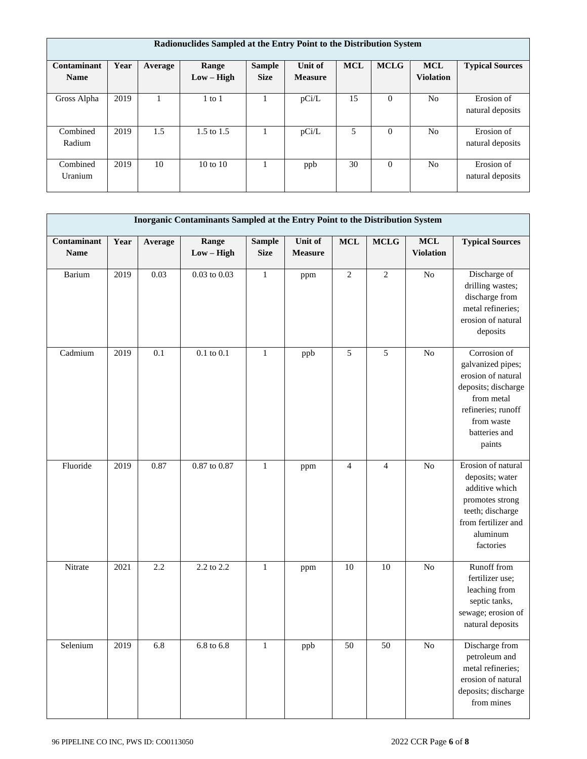|                            | Radionuclides Sampled at the Entry Point to the Distribution System |         |                       |                              |                           |            |             |                                |                                |  |  |  |  |
|----------------------------|---------------------------------------------------------------------|---------|-----------------------|------------------------------|---------------------------|------------|-------------|--------------------------------|--------------------------------|--|--|--|--|
| Contaminant<br><b>Name</b> | Year                                                                | Average | Range<br>$Low - High$ | <b>Sample</b><br><b>Size</b> | Unit of<br><b>Measure</b> | <b>MCL</b> | <b>MCLG</b> | <b>MCL</b><br><b>Violation</b> | <b>Typical Sources</b>         |  |  |  |  |
| Gross Alpha                | 2019                                                                |         | $1$ to $1$            |                              | pCi/L                     | 15         | $\Omega$    | N <sub>0</sub>                 | Erosion of<br>natural deposits |  |  |  |  |
| Combined<br>Radium         | 2019                                                                | 1.5     | $1.5 \text{ to } 1.5$ |                              | pCi/L                     | 5          | $\theta$    | N <sub>0</sub>                 | Erosion of<br>natural deposits |  |  |  |  |
| Combined<br>Uranium        | 2019                                                                | 10      | $10 \text{ to } 10$   |                              | ppb                       | 30         | $\theta$    | N <sub>0</sub>                 | Erosion of<br>natural deposits |  |  |  |  |

|                            | Inorganic Contaminants Sampled at the Entry Point to the Distribution System |         |                       |                              |                           |                |                |                                |                                                                                                                                                             |  |  |  |
|----------------------------|------------------------------------------------------------------------------|---------|-----------------------|------------------------------|---------------------------|----------------|----------------|--------------------------------|-------------------------------------------------------------------------------------------------------------------------------------------------------------|--|--|--|
| Contaminant<br><b>Name</b> | Year                                                                         | Average | Range<br>$Low - High$ | <b>Sample</b><br><b>Size</b> | Unit of<br><b>Measure</b> | <b>MCL</b>     | <b>MCLG</b>    | <b>MCL</b><br><b>Violation</b> | <b>Typical Sources</b>                                                                                                                                      |  |  |  |
| Barium                     | 2019                                                                         | 0.03    | $0.03$ to $0.03$      | $\mathbf{1}$                 | ppm                       | $\overline{2}$ | $\overline{c}$ | $\rm No$                       | Discharge of<br>drilling wastes;<br>discharge from<br>metal refineries;<br>erosion of natural<br>deposits                                                   |  |  |  |
| Cadmium                    | 2019                                                                         | 0.1     | $0.1$ to $0.1$        | $\mathbf{1}$                 | ppb                       | 5              | 5              | N <sub>o</sub>                 | Corrosion of<br>galvanized pipes;<br>erosion of natural<br>deposits; discharge<br>from metal<br>refineries; runoff<br>from waste<br>batteries and<br>paints |  |  |  |
| Fluoride                   | 2019                                                                         | 0.87    | $0.87$ to $0.87$      | $\mathbf{1}$                 | ppm                       | $\overline{4}$ | $\overline{4}$ | N <sub>o</sub>                 | Erosion of natural<br>deposits; water<br>additive which<br>promotes strong<br>teeth; discharge<br>from fertilizer and<br>aluminum<br>factories              |  |  |  |
| Nitrate                    | 2021                                                                         | 2.2     | 2.2 to 2.2            | $\mathbf{1}$                 | ppm                       | 10             | 10             | N <sub>o</sub>                 | Runoff from<br>fertilizer use;<br>leaching from<br>septic tanks,<br>sewage; erosion of<br>natural deposits                                                  |  |  |  |
| Selenium                   | 2019                                                                         | 6.8     | $6.8$ to $6.8\,$      | $\mathbf{1}$                 | ppb                       | 50             | 50             | $\rm No$                       | Discharge from<br>petroleum and<br>metal refineries;<br>erosion of natural<br>deposits; discharge<br>from mines                                             |  |  |  |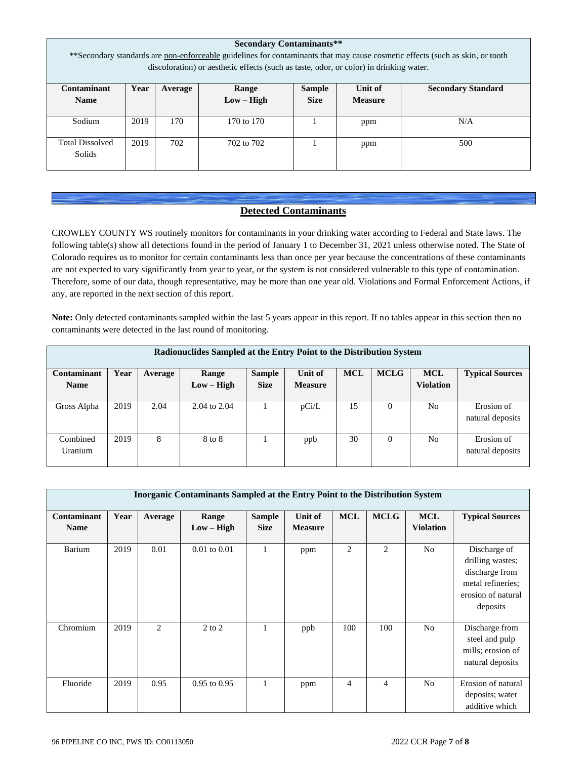|                                                                                                                                | <b>Secondary Contaminants**</b> |     |              |             |                |     |  |  |  |  |  |  |
|--------------------------------------------------------------------------------------------------------------------------------|---------------------------------|-----|--------------|-------------|----------------|-----|--|--|--|--|--|--|
| ** Secondary standards are non-enforceable guidelines for contaminants that may cause cosmetic effects (such as skin, or tooth |                                 |     |              |             |                |     |  |  |  |  |  |  |
| discoloration) or aesthetic effects (such as taste, odor, or color) in drinking water.                                         |                                 |     |              |             |                |     |  |  |  |  |  |  |
| Contaminant<br>Unit of<br>Range<br>Sample<br>Year<br><b>Secondary Standard</b><br>Average                                      |                                 |     |              |             |                |     |  |  |  |  |  |  |
| <b>Name</b>                                                                                                                    |                                 |     | $Low - High$ | <b>Size</b> | <b>Measure</b> |     |  |  |  |  |  |  |
| Sodium                                                                                                                         | 2019                            | 170 | 170 to 170   |             | ppm            | N/A |  |  |  |  |  |  |
| <b>Total Dissolved</b><br>Solids                                                                                               | 2019                            | 702 | 702 to 702   |             | ppm            | 500 |  |  |  |  |  |  |

## **Detected Contaminants**

CROWLEY COUNTY WS routinely monitors for contaminants in your drinking water according to Federal and State laws. The following table(s) show all detections found in the period of January 1 to December 31, 2021 unless otherwise noted. The State of Colorado requires us to monitor for certain contaminants less than once per year because the concentrations of these contaminants are not expected to vary significantly from year to year, or the system is not considered vulnerable to this type of contamination. Therefore, some of our data, though representative, may be more than one year old. Violations and Formal Enforcement Actions, if any, are reported in the next section of this report.

**Note:** Only detected contaminants sampled within the last 5 years appear in this report. If no tables appear in this section then no contaminants were detected in the last round of monitoring.

|             | Radionuclides Sampled at the Entry Point to the Distribution System |         |                  |               |                |            |             |                  |                        |  |  |  |  |  |  |
|-------------|---------------------------------------------------------------------|---------|------------------|---------------|----------------|------------|-------------|------------------|------------------------|--|--|--|--|--|--|
| Contaminant | Year                                                                | Average | Range            | <b>Sample</b> | Unit of        | <b>MCL</b> | <b>MCLG</b> | <b>MCL</b>       | <b>Typical Sources</b> |  |  |  |  |  |  |
| <b>Name</b> |                                                                     |         | $Low - High$     | <b>Size</b>   | <b>Measure</b> |            |             | <b>Violation</b> |                        |  |  |  |  |  |  |
|             |                                                                     |         |                  |               |                |            |             |                  |                        |  |  |  |  |  |  |
| Gross Alpha | 2019                                                                | 2.04    | $2.04$ to $2.04$ |               | pCi/L          | 15         | 0           | N <sub>o</sub>   | Erosion of             |  |  |  |  |  |  |
|             |                                                                     |         |                  |               |                |            |             |                  | natural deposits       |  |  |  |  |  |  |
|             |                                                                     |         |                  |               |                |            |             |                  |                        |  |  |  |  |  |  |
| Combined    | 2019                                                                | 8       | 8 to 8           |               | ppb            | 30         | 0           | N <sub>o</sub>   | Erosion of             |  |  |  |  |  |  |
| Uranium     |                                                                     |         |                  |               |                |            |             |                  | natural deposits       |  |  |  |  |  |  |
|             |                                                                     |         |                  |               |                |            |             |                  |                        |  |  |  |  |  |  |

| <b>Inorganic Contaminants Sampled at the Entry Point to the Distribution System</b> |      |         |                       |                              |                           |                |                |                                |                                                                                                           |
|-------------------------------------------------------------------------------------|------|---------|-----------------------|------------------------------|---------------------------|----------------|----------------|--------------------------------|-----------------------------------------------------------------------------------------------------------|
| Contaminant<br><b>Name</b>                                                          | Year | Average | Range<br>$Low - High$ | <b>Sample</b><br><b>Size</b> | Unit of<br><b>Measure</b> | <b>MCL</b>     | <b>MCLG</b>    | <b>MCL</b><br><b>Violation</b> | <b>Typical Sources</b>                                                                                    |
| Barium                                                                              | 2019 | 0.01    | $0.01$ to $0.01$      |                              | ppm                       | $\overline{2}$ | 2              | No                             | Discharge of<br>drilling wastes;<br>discharge from<br>metal refineries;<br>erosion of natural<br>deposits |
| Chromium                                                                            | 2019 | 2       | $2$ to $2$            |                              | ppb                       | 100            | 100            | No                             | Discharge from<br>steel and pulp<br>mills; erosion of<br>natural deposits                                 |
| Fluoride                                                                            | 2019 | 0.95    | $0.95$ to $0.95$      | 1                            | ppm                       | 4              | $\overline{4}$ | No                             | Erosion of natural<br>deposits; water<br>additive which                                                   |